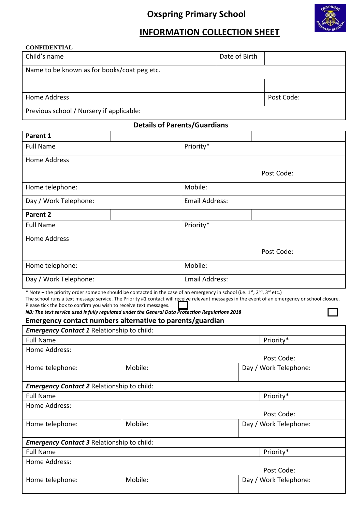# **Oxspring Primary School**



## **INFORMATION COLLECTION SHEET**

## **CONFIDENTIAL**

| <b>Details of Parents/Guardians</b>         |  |               |            |  |  |
|---------------------------------------------|--|---------------|------------|--|--|
| Previous school / Nursery if applicable:    |  |               |            |  |  |
| Home Address                                |  |               | Post Code: |  |  |
|                                             |  |               |            |  |  |
| Name to be known as for books/coat peg etc. |  |               |            |  |  |
| Child's name                                |  | Date of Birth |            |  |  |

| Parent 1                                                                                                                                                                                                                                                                                                                                                     |         |                       |                                                                                                                                                |  |
|--------------------------------------------------------------------------------------------------------------------------------------------------------------------------------------------------------------------------------------------------------------------------------------------------------------------------------------------------------------|---------|-----------------------|------------------------------------------------------------------------------------------------------------------------------------------------|--|
| <b>Full Name</b>                                                                                                                                                                                                                                                                                                                                             |         | Priority*             |                                                                                                                                                |  |
| <b>Home Address</b>                                                                                                                                                                                                                                                                                                                                          |         |                       |                                                                                                                                                |  |
|                                                                                                                                                                                                                                                                                                                                                              |         |                       | Post Code:                                                                                                                                     |  |
| Home telephone:                                                                                                                                                                                                                                                                                                                                              |         | Mobile:               |                                                                                                                                                |  |
| Day / Work Telephone:                                                                                                                                                                                                                                                                                                                                        |         | <b>Email Address:</b> |                                                                                                                                                |  |
| Parent 2                                                                                                                                                                                                                                                                                                                                                     |         |                       |                                                                                                                                                |  |
| <b>Full Name</b>                                                                                                                                                                                                                                                                                                                                             |         | Priority*             |                                                                                                                                                |  |
| <b>Home Address</b>                                                                                                                                                                                                                                                                                                                                          |         |                       |                                                                                                                                                |  |
|                                                                                                                                                                                                                                                                                                                                                              |         | Post Code:            |                                                                                                                                                |  |
| Home telephone:                                                                                                                                                                                                                                                                                                                                              |         | Mobile:               |                                                                                                                                                |  |
| Day / Work Telephone:                                                                                                                                                                                                                                                                                                                                        |         | <b>Email Address:</b> |                                                                                                                                                |  |
| * Note – the priority order someone should be contacted in the case of an emergency in school (i.e. 1st, 2nd, 3rd etc.)<br>Please tick the box to confirm you wish to receive text messages.<br>NB: The text service used is fully regulated under the General Data Protection Regulations 2018<br>Emergency contact numbers alternative to parents/guardian |         |                       | The school runs a text message service. The Priority #1 contact will receive relevant messages in the event of an emergency or school closure. |  |
| <b>Emergency Contact 1 Relationship to child:</b>                                                                                                                                                                                                                                                                                                            |         |                       |                                                                                                                                                |  |
| <b>Full Name</b>                                                                                                                                                                                                                                                                                                                                             |         |                       | Priority*                                                                                                                                      |  |
| Home Address:                                                                                                                                                                                                                                                                                                                                                |         |                       |                                                                                                                                                |  |
|                                                                                                                                                                                                                                                                                                                                                              |         |                       | Post Code:                                                                                                                                     |  |
| Home telephone:                                                                                                                                                                                                                                                                                                                                              | Mobile: |                       | Day / Work Telephone:                                                                                                                          |  |
| Emergency Contact 2 Relationship to child:                                                                                                                                                                                                                                                                                                                   |         |                       |                                                                                                                                                |  |
| <b>Full Name</b>                                                                                                                                                                                                                                                                                                                                             |         |                       |                                                                                                                                                |  |
|                                                                                                                                                                                                                                                                                                                                                              |         |                       | Priority*                                                                                                                                      |  |
| Home Address:                                                                                                                                                                                                                                                                                                                                                |         |                       |                                                                                                                                                |  |
|                                                                                                                                                                                                                                                                                                                                                              |         |                       | Post Code:                                                                                                                                     |  |
| Home telephone:                                                                                                                                                                                                                                                                                                                                              | Mobile: |                       | Day / Work Telephone:                                                                                                                          |  |
| <b>Emergency Contact 3 Relationship to child:</b>                                                                                                                                                                                                                                                                                                            |         |                       |                                                                                                                                                |  |
| <b>Full Name</b>                                                                                                                                                                                                                                                                                                                                             |         |                       | Priority*                                                                                                                                      |  |

|                 |         | Post Code:            |
|-----------------|---------|-----------------------|
| Home telephone: | Mobile: | Day / Work Telephone: |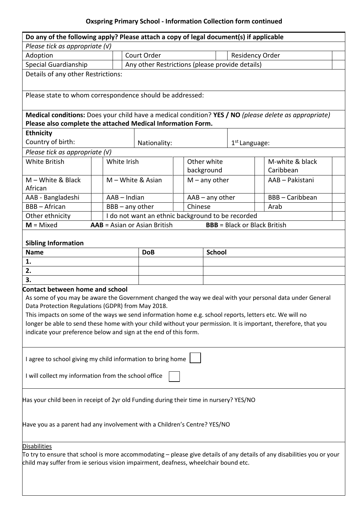## **Oxspring Primary School - Information Collection form continued**

| Do any of the following apply? Please attach a copy of legal document(s) if applicable                                                                                                                                                                                                                                                                                                                                                                                                                   |                                                   |                                                 |         |                           |                                     |                              |  |
|----------------------------------------------------------------------------------------------------------------------------------------------------------------------------------------------------------------------------------------------------------------------------------------------------------------------------------------------------------------------------------------------------------------------------------------------------------------------------------------------------------|---------------------------------------------------|-------------------------------------------------|---------|---------------------------|-------------------------------------|------------------------------|--|
| Please tick as appropriate $(V)$                                                                                                                                                                                                                                                                                                                                                                                                                                                                         |                                                   |                                                 |         |                           |                                     |                              |  |
| Adoption                                                                                                                                                                                                                                                                                                                                                                                                                                                                                                 |                                                   | Court Order                                     |         |                           | Residency Order                     |                              |  |
| Special Guardianship                                                                                                                                                                                                                                                                                                                                                                                                                                                                                     |                                                   | Any other Restrictions (please provide details) |         |                           |                                     |                              |  |
| Details of any other Restrictions:                                                                                                                                                                                                                                                                                                                                                                                                                                                                       |                                                   |                                                 |         |                           |                                     |                              |  |
| Please state to whom correspondence should be addressed:                                                                                                                                                                                                                                                                                                                                                                                                                                                 |                                                   |                                                 |         |                           |                                     |                              |  |
| Medical conditions: Does your child have a medical condition? YES / NO (please delete as appropriate)<br>Please also complete the attached Medical Information Form.                                                                                                                                                                                                                                                                                                                                     |                                                   |                                                 |         |                           |                                     |                              |  |
| <b>Ethnicity</b>                                                                                                                                                                                                                                                                                                                                                                                                                                                                                         |                                                   |                                                 |         |                           |                                     |                              |  |
| Country of birth:                                                                                                                                                                                                                                                                                                                                                                                                                                                                                        |                                                   | Nationality:                                    |         |                           | $1st$ Language:                     |                              |  |
| Please tick as appropriate $(V)$                                                                                                                                                                                                                                                                                                                                                                                                                                                                         |                                                   |                                                 |         |                           |                                     |                              |  |
| White British                                                                                                                                                                                                                                                                                                                                                                                                                                                                                            | White Irish                                       |                                                 |         | Other white<br>background |                                     | M-white & black<br>Caribbean |  |
| $M$ – White & Black<br>African                                                                                                                                                                                                                                                                                                                                                                                                                                                                           | M - White & Asian                                 |                                                 |         | $M$ – any other           |                                     | AAB - Pakistani              |  |
| AAB - Bangladeshi                                                                                                                                                                                                                                                                                                                                                                                                                                                                                        | AAB - Indian                                      |                                                 |         | $AAB - any other$         |                                     | <b>BBB-Caribbean</b>         |  |
| <b>BBB-African</b>                                                                                                                                                                                                                                                                                                                                                                                                                                                                                       | $BB - any other$                                  |                                                 | Chinese |                           |                                     | Arab                         |  |
| Other ethnicity                                                                                                                                                                                                                                                                                                                                                                                                                                                                                          | I do not want an ethnic background to be recorded |                                                 |         |                           |                                     |                              |  |
| $M = Mixed$                                                                                                                                                                                                                                                                                                                                                                                                                                                                                              |                                                   | <b>AAB</b> = Asian or Asian British             |         |                           | <b>BBB</b> = Black or Black British |                              |  |
|                                                                                                                                                                                                                                                                                                                                                                                                                                                                                                          |                                                   |                                                 |         |                           |                                     |                              |  |
| <b>Sibling Information</b>                                                                                                                                                                                                                                                                                                                                                                                                                                                                               |                                                   |                                                 |         |                           |                                     |                              |  |
| <b>Name</b>                                                                                                                                                                                                                                                                                                                                                                                                                                                                                              |                                                   | <b>DoB</b>                                      |         | <b>School</b>             |                                     |                              |  |
| 1.                                                                                                                                                                                                                                                                                                                                                                                                                                                                                                       |                                                   |                                                 |         |                           |                                     |                              |  |
| 2.                                                                                                                                                                                                                                                                                                                                                                                                                                                                                                       |                                                   |                                                 |         |                           |                                     |                              |  |
| 3.                                                                                                                                                                                                                                                                                                                                                                                                                                                                                                       |                                                   |                                                 |         |                           |                                     |                              |  |
| <b>Contact between home and school</b><br>As some of you may be aware the Government changed the way we deal with your personal data under General<br>Data Protection Regulations (GDPR) from May 2018.<br>This impacts on some of the ways we send information home e.g. school reports, letters etc. We will no<br>longer be able to send these home with your child without your permission. It is important, therefore, that you<br>indicate your preference below and sign at the end of this form. |                                                   |                                                 |         |                           |                                     |                              |  |
| I agree to school giving my child information to bring home<br>I will collect my information from the school office                                                                                                                                                                                                                                                                                                                                                                                      |                                                   |                                                 |         |                           |                                     |                              |  |
| Has your child been in receipt of 2yr old Funding during their time in nursery? YES/NO                                                                                                                                                                                                                                                                                                                                                                                                                   |                                                   |                                                 |         |                           |                                     |                              |  |
| Have you as a parent had any involvement with a Children's Centre? YES/NO                                                                                                                                                                                                                                                                                                                                                                                                                                |                                                   |                                                 |         |                           |                                     |                              |  |
| <b>Disabilities</b>                                                                                                                                                                                                                                                                                                                                                                                                                                                                                      |                                                   |                                                 |         |                           |                                     |                              |  |
| To try to ensure that school is more accommodating – please give details of any details of any disabilities you or your<br>child may suffer from ie serious vision impairment, deafness, wheelchair bound etc.                                                                                                                                                                                                                                                                                           |                                                   |                                                 |         |                           |                                     |                              |  |